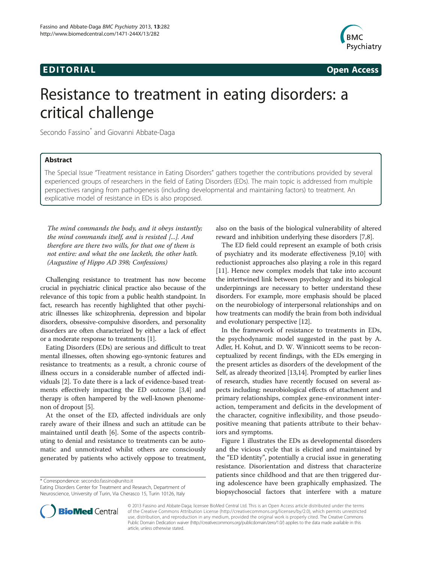## Edition in the contract of the contract of the contract of the contract of the contract of the contract of the<br>The contract of the contract of the contract of the contract of the contract of the contract of the contract o



# Resistance to treatment in eating disorders: a critical challenge

Secondo Fassino\* and Giovanni Abbate-Daga

### **Abstract**

The Special Issue "Treatment resistance in Eating Disorders" gathers together the contributions provided by several experienced groups of researchers in the field of Eating Disorders (EDs). The main topic is addressed from multiple perspectives ranging from pathogenesis (including developmental and maintaining factors) to treatment. An explicative model of resistance in EDs is also proposed.

The mind commands the body, and it obeys instantly; the mind commands itself, and is resisted [...]. And therefore are there two wills, for that one of them is not entire: and what the one lacketh, the other hath. (Augustine of Hippo AD 398; Confessions)

Challenging resistance to treatment has now become crucial in psychiatric clinical practice also because of the relevance of this topic from a public health standpoint. In fact, research has recently highlighted that other psychiatric illnesses like schizophrenia, depression and bipolar disorders, obsessive-compulsive disorders, and personality disorders are often characterized by either a lack of effect or a moderate response to treatments [\[1\]](#page-3-0).

Eating Disorders (EDs) are serious and difficult to treat mental illnesses, often showing ego-syntonic features and resistance to treatments; as a result, a chronic course of illness occurs in a considerable number of affected individuals [\[2](#page-3-0)]. To date there is a lack of evidence-based treatments effectively impacting the ED outcome [[3,4](#page-3-0)] and therapy is often hampered by the well-known phenomenon of dropout [\[5](#page-3-0)].

At the onset of the ED, affected individuals are only rarely aware of their illness and such an attitude can be maintained until death [\[6](#page-3-0)]. Some of the aspects contributing to denial and resistance to treatments can be automatic and unmotivated whilst others are consciously generated by patients who actively oppose to treatment,

\* Correspondence: [secondo.fassino@unito.it](mailto:secondo.fassino@unito.it)

Eating Disorders Center for Treatment and Research, Department of Neuroscience, University of Turin, Via Cherasco 15, Turin 10126, Italy



The ED field could represent an example of both crisis of psychiatry and its moderate effectiveness [\[9,10](#page-3-0)] with reductionist approaches also playing a role in this regard [[11\]](#page-3-0). Hence new complex models that take into account the intertwined link between psychology and its biological underpinnings are necessary to better understand these disorders. For example, more emphasis should be placed on the neurobiology of interpersonal relationships and on how treatments can modify the brain from both individual and evolutionary perspective [\[12\]](#page-3-0).

In the framework of resistance to treatments in EDs, the psychodynamic model suggested in the past by A. Adler, H. Kohut, and D. W. Winnicott seems to be reconceptualized by recent findings, with the EDs emerging in the present articles as disorders of the development of the Self, as already theorized [[13,14](#page-3-0)]. Prompted by earlier lines of research, studies have recently focused on several aspects including: neurobiological effects of attachment and primary relationships, complex gene-environment interaction, temperament and deficits in the development of the character, cognitive inflexibility, and those pseudopositive meaning that patients attribute to their behaviors and symptoms.

Figure [1](#page-1-0) illustrates the EDs as developmental disorders and the vicious cycle that is elicited and maintained by the "ED identity", potentially a crucial issue in generating resistance. Disorientation and distress that characterize patients since childhood and that are then triggered during adolescence have been graphically emphasized. The biopsychosocial factors that interfere with a mature



© 2013 Fassino and Abbate-Daga; licensee BioMed Central Ltd. This is an Open Access article distributed under the terms of the Creative Commons Attribution License (<http://creativecommons.org/licenses/by/2.0>), which permits unrestricted use, distribution, and reproduction in any medium, provided the original work is properly cited. The Creative Commons Public Domain Dedication waiver [\(http://creativecommons.org/publicdomain/zero/1.0/\)](http://creativecommons.org/publicdomain/zero/1.0/) applies to the data made available in this article, unless otherwise stated.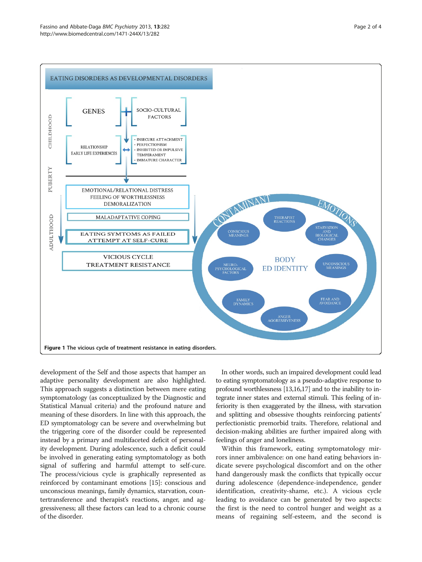<span id="page-1-0"></span>

development of the Self and those aspects that hamper an adaptive personality development are also highlighted. This approach suggests a distinction between mere eating symptomatology (as conceptualized by the Diagnostic and Statistical Manual criteria) and the profound nature and meaning of these disorders. In line with this approach, the ED symptomatology can be severe and overwhelming but the triggering core of the disorder could be represented instead by a primary and multifaceted deficit of personality development. During adolescence, such a deficit could be involved in generating eating symptomatology as both signal of suffering and harmful attempt to self-cure. The process/vicious cycle is graphically represented as reinforced by contaminant emotions [[15](#page-3-0)]: conscious and unconscious meanings, family dynamics, starvation, countertransference and therapist's reactions, anger, and aggressiveness; all these factors can lead to a chronic course of the disorder.

In other words, such an impaired development could lead to eating symptomatology as a pseudo-adaptive response to profound worthlessness [\[13,16,17](#page-3-0)] and to the inability to integrate inner states and external stimuli. This feeling of inferiority is then exaggerated by the illness, with starvation and splitting and obsessive thoughts reinforcing patients' perfectionistic premorbid traits. Therefore, relational and decision-making abilities are further impaired along with feelings of anger and loneliness.

Within this framework, eating symptomatology mirrors inner ambivalence: on one hand eating behaviors indicate severe psychological discomfort and on the other hand dangerously mask the conflicts that typically occur during adolescence (dependence-independence, gender identification, creativity-shame, etc.). A vicious cycle leading to avoidance can be generated by two aspects: the first is the need to control hunger and weight as a means of regaining self-esteem, and the second is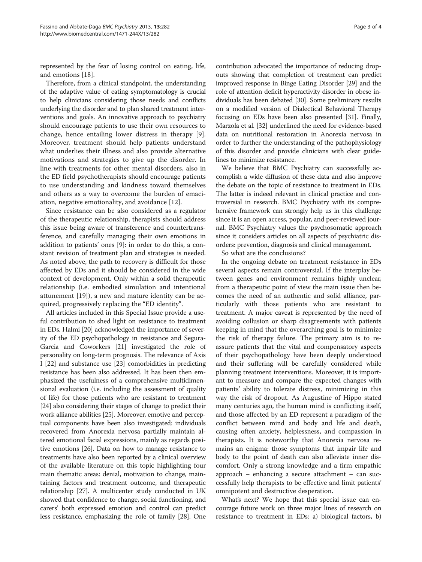represented by the fear of losing control on eating, life, and emotions [\[18](#page-3-0)].

Therefore, from a clinical standpoint, the understanding of the adaptive value of eating symptomatology is crucial to help clinicians considering those needs and conflicts underlying the disorder and to plan shared treatment interventions and goals. An innovative approach to psychiatry should encourage patients to use their own resources to change, hence entailing lower distress in therapy [\[9](#page-3-0)]. Moreover, treatment should help patients understand what underlies their illness and also provide alternative motivations and strategies to give up the disorder. In line with treatments for other mental disorders, also in the ED field psychotherapists should encourage patients to use understanding and kindness toward themselves and others as a way to overcome the burden of emaciation, negative emotionality, and avoidance [[12\]](#page-3-0).

Since resistance can be also considered as a regulator of the therapeutic relationship, therapists should address this issue being aware of transference and countertransference, and carefully managing their own emotions in addition to patients' ones [\[9\]](#page-3-0): in order to do this, a constant revision of treatment plan and strategies is needed. As noted above, the path to recovery is difficult for those affected by EDs and it should be considered in the wide context of development. Only within a solid therapeutic relationship (i.e. embodied simulation and intentional attunement [\[19](#page-3-0)]), a new and mature identity can be acquired, progressively replacing the "ED identity".

All articles included in this Special Issue provide a useful contribution to shed light on resistance to treatment in EDs. Halmi [\[20](#page-3-0)] acknowledged the importance of severity of the ED psychopathology in resistance and Segura-Garcia and Coworkers [[21](#page-3-0)] investigated the role of personality on long-term prognosis. The relevance of Axis I [[22](#page-3-0)] and substance use [[23\]](#page-3-0) comorbidities in predicting resistance has been also addressed. It has been then emphasized the usefulness of a comprehensive multidimensional evaluation (i.e. including the assessment of quality of life) for those patients who are resistant to treatment [[24](#page-3-0)] also considering their stages of change to predict their work alliance abilities [\[25\]](#page-3-0). Moreover, emotive and perceptual components have been also investigated: individuals recovered from Anorexia nervosa partially maintain altered emotional facial expressions, mainly as regards positive emotions [\[26\]](#page-3-0). Data on how to manage resistance to treatments have also been reported by a clinical overview of the available literature on this topic highlighting four main thematic areas: denial, motivation to change, maintaining factors and treatment outcome, and therapeutic relationship [\[27\]](#page-3-0). A multicenter study conducted in UK showed that confidence to change, social functioning, and carers' both expressed emotion and control can predict less resistance, emphasizing the role of family [\[28\]](#page-3-0). One

contribution advocated the importance of reducing dropouts showing that completion of treatment can predict improved response in Binge Eating Disorder [[29](#page-3-0)] and the role of attention deficit hyperactivity disorder in obese individuals has been debated [[30](#page-3-0)]. Some preliminary results on a modified version of Dialectical Behavioral Therapy focusing on EDs have been also presented [[31](#page-3-0)]. Finally, Marzola et al. [\[32\]](#page-3-0) underlined the need for evidence-based data on nutritional restoration in Anorexia nervosa in order to further the understanding of the pathophysiology of this disorder and provide clinicians with clear guidelines to minimize resistance.

We believe that BMC Psychiatry can successfully accomplish a wide diffusion of these data and also improve the debate on the topic of resistance to treatment in EDs. The latter is indeed relevant in clinical practice and controversial in research. BMC Psychiatry with its comprehensive framework can strongly help us in this challenge since it is an open access, popular, and peer-reviewed journal. BMC Psychiatry values the psychosomatic approach since it considers articles on all aspects of psychiatric disorders: prevention, diagnosis and clinical management.

So what are the conclusions?

In the ongoing debate on treatment resistance in EDs several aspects remain controversial. If the interplay between genes and environment remains highly unclear, from a therapeutic point of view the main issue then becomes the need of an authentic and solid alliance, particularly with those patients who are resistant to treatment. A major caveat is represented by the need of avoiding collusion or sharp disagreements with patients keeping in mind that the overarching goal is to minimize the risk of therapy failure. The primary aim is to reassure patients that the vital and compensatory aspects of their psychopathology have been deeply understood and their suffering will be carefully considered while planning treatment interventions. Moreover, it is important to measure and compare the expected changes with patients' ability to tolerate distress, minimizing in this way the risk of dropout. As Augustine of Hippo stated many centuries ago, the human mind is conflicting itself, and those affected by an ED represent a paradigm of the conflict between mind and body and life and death, causing often anxiety, helplessness, and compassion in therapists. It is noteworthy that Anorexia nervosa remains an enigma: those symptoms that impair life and body to the point of death can also alleviate inner discomfort. Only a strong knowledge and a firm empathic approach – enhancing a secure attachment – can successfully help therapists to be effective and limit patients' omnipotent and destructive desperation.

What's next? We hope that this special issue can encourage future work on three major lines of research on resistance to treatment in EDs: a) biological factors, b)